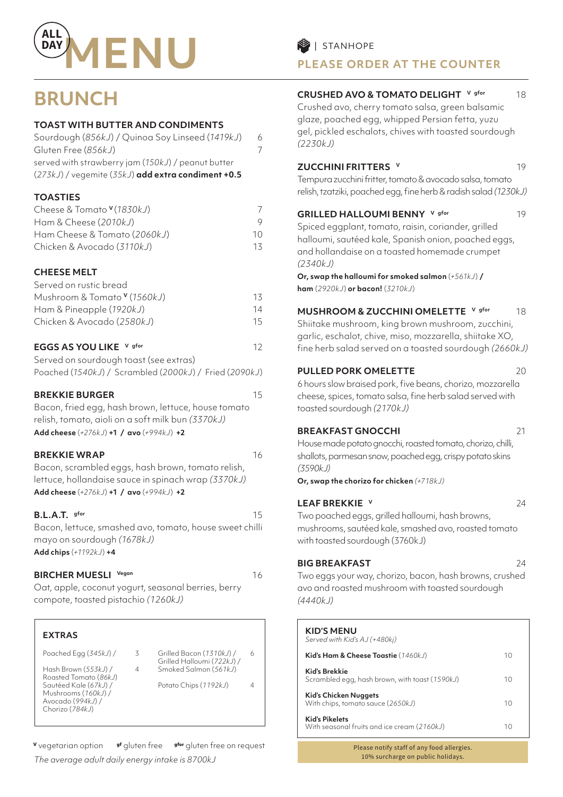

# **BRUNCH**

#### **TOAST WITH BUTTER AND CONDIMENTS**

| Sourdough (856kJ) / Quinoa Soy Linseed (1419kJ)    | 6 |
|----------------------------------------------------|---|
| Gluten Free (856kJ)                                |   |
| served with strawberry jam (150kJ) / peanut butter |   |
| (273kJ) / vegemite (35kJ) add extra condiment +0.5 |   |

#### **TOASTIES**

| Cheese & Tomato <sup>v</sup> (1830kJ) |    |
|---------------------------------------|----|
| Ham & Cheese (2010kJ)                 |    |
| Ham Cheese & Tomato (2060kJ)          | 10 |
| Chicken & Avocado (3110kJ)            | 13 |

#### **CHEESE MELT**

| Served on rustic bread                  |     |
|-----------------------------------------|-----|
| Mushroom & Tomato <sup>v</sup> (1560kJ) | 13. |
| Ham & Pineapple (1920kJ)                | 14  |
| Chicken & Avocado (2580kJ)              | 15. |
|                                         |     |

#### **EGGS AS YOU LIKE** V gfor **12**

| Served on sourdough toast (see extras)                 |
|--------------------------------------------------------|
| Poached (1540kJ) / Scrambled (2000kJ) / Fried (2090kJ) |

#### **BREKKIE BURGER** 15

Bacon, fried egg, hash brown, lettuce, house tomato relish, tomato, aioli on a soft milk bun *(3370kJ)* **Add cheese** (*+276kJ*) **+1 / avo** (*+994kJ*) **+2** 

#### **BREKKIE WRAP** 16

Bacon, scrambled eggs, hash brown, tomato relish, lettuce, hollandaise sauce in spinach wrap *(3370kJ)* **Add cheese** (*+276kJ*) **+1 / avo** (*+994kJ*) **+2** 

#### **B.L.A.T.** gfor 15

Bacon, lettuce, smashed avo, tomato, house sweet chilli mayo on sourdough *(1678kJ)*  **Add chips** (*+1192kJ*) **+4** 

#### **BIRCHER MUESLI** Vegan **16**

Oat, apple, coconut yogurt, seasonal berries, berry compote, toasted pistachio *(1260kJ)*

#### **EXTRAS**

Poached Egg (*345kJ*) / 3

Hash Brown (*553kJ*) / 4 Roasted Tomato (*86kJ*) Sautéed Kale (*67kJ*) / Mushrooms (*160kJ*) / Avocado (*994kJ*) / Chorizo (*784kJ*)

- Grilled Halloumi (*722kJ*) / Smoked Salmon (*561kJ*)
	- Potato Chips (*1192kJ*) 4

Grilled Bacon (*1310kJ*) / 6

**<sup>V</sup>** vegetarian option **gf** gluten free **gfor** gluten free on request *The average adult daily energy intake is 8700kJ*

### **PLEASE ORDER AT THE COUNTER**

#### **CRUSHED AVO & TOMATO DELIGHT** V gfor 18

Crushed avo, cherry tomato salsa, green balsamic glaze, poached egg, whipped Persian fetta, yuzu gel, pickled eschalots, chives with toasted sourdough *(2230kJ)* 

#### **ZUCCHINI FRITTERS v** 19

Tempura zucchini fritter, tomato & avocado salsa, tomato relish, tzatziki, poached egg, fine herb & radish salad *(1230kJ)*

#### **GRILLED HALLOUMI BENNY** V gfor 19

Spiced eggplant, tomato, raisin, coriander, grilled halloumi, sautéed kale, Spanish onion, poached eggs, and hollandaise on a toasted homemade crumpet *(2340kJ)*

#### **Or, swap the halloumi for smoked salmon** (*+561kJ*) **/ ham** (*2920kJ*) **or bacon!** (*3210kJ*)

**MUSHROOM & ZUCCHINI OMELETTE V gfor** 18

Shiitake mushroom, king brown mushroom, zucchini, garlic, eschalot, chive, miso, mozzarella, shiitake XO, fine herb salad served on a toasted sourdough *(2660kJ)* 

#### **PULLED PORK OMELETTE** 20

6 hours slow braised pork, five beans, chorizo, mozzarella cheese, spices, tomato salsa, fine herb salad served with toasted sourdough *(2170kJ)* 

#### **BREAKFAST GNOCCHI** 21

House made potato gnocchi, roasted tomato, chorizo, chilli, shallots, parmesan snow, poached egg, crispy potato skins *(3590kJ)* 

**Or, swap the chorizo for chicken** *(+718kJ)*

#### **LEAF BREKKIE v** 24

Two poached eggs, grilled halloumi, hash browns, mushrooms, sautéed kale, smashed avo, roasted tomato with toasted sourdough (3760kJ)

#### **BIG BREAKFAST** 24

Two eggs your way, chorizo, bacon, hash browns, crushed avo and roasted mushroom with toasted sourdough *(4440kJ)*

#### **KID'S MENU**

| Served with Kid's AJ (+480kj)                                        |    |
|----------------------------------------------------------------------|----|
| Kid's Ham & Cheese Toastie (1460kJ)                                  | 10 |
| Kid's Brekkie<br>Scrambled egg, hash brown, with toast (1590kJ)      | 10 |
| Kid's Chicken Nuggets<br>With chips, tomato sauce (2650kJ)           | 10 |
| <b>Kid's Pikelets</b><br>With seasonal fruits and ice cream (2160kJ) | 10 |

Please notify staff of any food allergies. 10% surcharge on public holidays.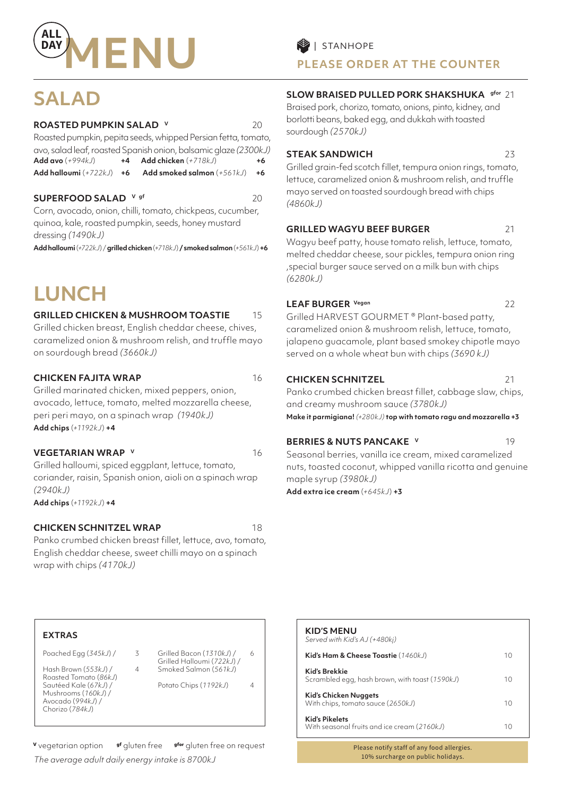

# **SALAD**

#### **ROASTED PUMPKIN SALAD V** 20

Roasted pumpkin, pepita seeds, whipped Persian fetta, tomato, avo, salad leaf, roasted Spanish onion, balsamic glaze *(2300kJ)* **Add avo** (*+994kJ*) **+4 Add chicken** (*+718kJ*) **+6**

**Add halloumi** (*+722kJ*) **+6 Add smoked salmon** (*+561kJ*) **+6**

#### **SUPERFOOD SALAD**  $V$  gf 20

Corn, avocado, onion, chilli, tomato, chickpeas, cucumber, quinoa, kale, roasted pumpkin, seeds, honey mustard dressing *(1490kJ)* 

**Add halloumi** (*+722kJ*) / **grilled chicken** (*+718kJ*) **/ smoked salmon** (*+561kJ*) **+6**

# **LUNCH**

#### **GRILLED CHICKEN & MUSHROOM TOASTIE** 15

Grilled chicken breast, English cheddar cheese, chives, caramelized onion & mushroom relish, and truffle mayo on sourdough bread *(3660kJ)*

#### **CHICKEN FAJITA WRAP** 16

Grilled marinated chicken, mixed peppers, onion, avocado, lettuce, tomato, melted mozzarella cheese, peri peri mayo, on a spinach wrap *(1940kJ)* **Add chips** (*+1192kJ*) **+4** 

**VEGETARIAN WRAP V** 16

Grilled halloumi, spiced eggplant, lettuce, tomato, coriander, raisin, Spanish onion, aioli on a spinach wrap *(2940kJ)*  **Add chips** (*+1192kJ*) **+4**

#### **CHICKEN SCHNITZEL WRAP** 18

Panko crumbed chicken breast fillet, lettuce, avo, tomato, English cheddar cheese, sweet chilli mayo on a spinach wrap with chips *(4170kJ)* 

**PLEASE ORDER AT THE COUNTER**

#### **SLOW BRAISED PULLED PORK SHAKSHUKA gfor** 21

Braised pork, chorizo, tomato, onions, pinto, kidney, and borlotti beans, baked egg, and dukkah with toasted sourdough *(2570kJ)* 

#### **STEAK SANDWICH** 23

Grilled grain-fed scotch fillet, tempura onion rings, tomato, lettuce, caramelized onion & mushroom relish, and truffle mayo served on toasted sourdough bread with chips *(4860kJ)* 

#### **GRILLED WAGYU BEEF BURGER** 21

Wagyu beef patty, house tomato relish, lettuce, tomato, melted cheddar cheese, sour pickles, tempura onion ring ,special burger sauce served on a milk bun with chips *(6280kJ)* 

#### LEAF BURGER Vegan 22

Grilled HARVEST GOURMET ® Plant-based patty, caramelized onion & mushroom relish, lettuce, tomato, jalapeno guacamole, plant based smokey chipotle mayo served on a whole wheat bun with chips *(3690 kJ)*

#### **CHICKEN SCHNITZEL** 21

Panko crumbed chicken breast fillet, cabbage slaw, chips, and creamy mushroom sauce *(3780kJ)* 

**Make it parmigiana!** *(+280kJ)* **top with tomato ragu and mozzarella +3** 

#### **BERRIES & NUTS PANCAKE V** 19

Seasonal berries, vanilla ice cream, mixed caramelized nuts, toasted coconut, whipped vanilla ricotta and genuine maple syrup *(3980kJ)* 

**Add extra ice cream** (*+645kJ*) **+3**

**KID'S MENU** 

#### **EXTRAS**

Poached Egg (*345kJ*) / 3

Hash Brown (*553kJ*) / 4 Roasted Tomato (*86kJ*) Sautéed Kale (*67kJ*) / Mushrooms (*160kJ*) / Avocado (*994kJ*) / Chorizo (*784kJ*)

- Grilled Halloumi (*722kJ*) /
- Potato Chips (*1192kJ*) 4

*Served with Kid's AJ (+480kj)* **Kid's Ham & Cheese Toastie** (1460kJ) 10 **Kid's Brekkie** Scrambled egg, hash brown, with toast (*1590kJ*) 10 **Kid's Chicken Nuggets** With chips, tomato sauce (2650kJ) 10 **Kid's Pikelets** With seasonal fruits and ice cream (2160kJ) 10

> Please notify staff of any food allergies. 10% surcharge on public holidays.

## Grilled Bacon (*1310kJ*) / 6 Smoked Salmon (*561kJ*)

**<sup>V</sup>** vegetarian option **gf** gluten free **gfor** gluten free on request *The average adult daily energy intake is 8700kJ*